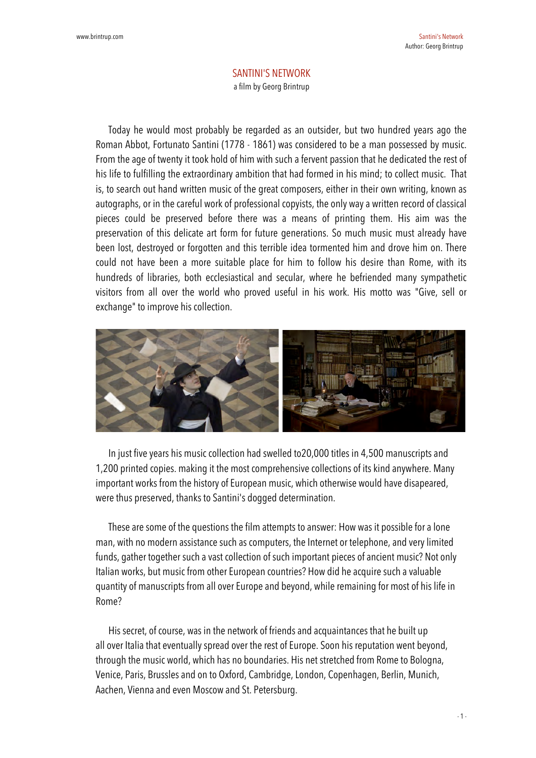## SANTINI'S NETWORK a film by Georg Brintrup

Today he would most probably be regarded as an outsider, but two hundred years ago the Roman Abbot, Fortunato Santini (1778 - 1861) was considered to be a man possessed by music. From the age of twenty it took hold of him with such a fervent passion that he dedicated the rest of his life to fulfilling the extraordinary ambition that had formed in his mind; to collect music. That is, to search out hand written music of the great composers, either in their own writing, known as autographs, or in the careful work of professional copyists, the only way a written record of classical pieces could be preserved before there was a means of printing them. His aim was the preservation of this delicate art form for future generations. So much music must already have been lost, destroyed or forgotten and this terrible idea tormented him and drove him on. There could not have been a more suitable place for him to follow his desire than Rome, with its hundreds of libraries, both ecclesiastical and secular, where he befriended many sympathetic visitors from all over the world who proved useful in his work. His motto was "Give, sell or exchange" to improve his collection.



In just five years his music collection had swelled to20,000 titles in 4,500 manuscripts and 1,200 printed copies. making it the most comprehensive collections of its kind anywhere. Many important works from the history of European music, which otherwise would have disapeared, were thus preserved, thanks to Santini's dogged determination.

These are some of the questions the film attempts to answer: How was it possible for a lone man, with no modern assistance such as computers, the Internet or telephone, and very limited funds, gather together such a vast collection of such important pieces of ancient music? Not only Italian works, but music from other European countries? How did he acquire such a valuable quantity of manuscripts from all over Europe and beyond, while remaining for most of his life in Rome?

His secret, of course, was in the network of friends and acquaintances that he built up all over Italia that eventually spread over the rest of Europe. Soon his reputation went beyond, through the music world, which has no boundaries. His net stretched from Rome to Bologna, Venice, Paris, Brussles and on to Oxford, Cambridge, London, Copenhagen, Berlin, Munich, Aachen, Vienna and even Moscow and St. Petersburg.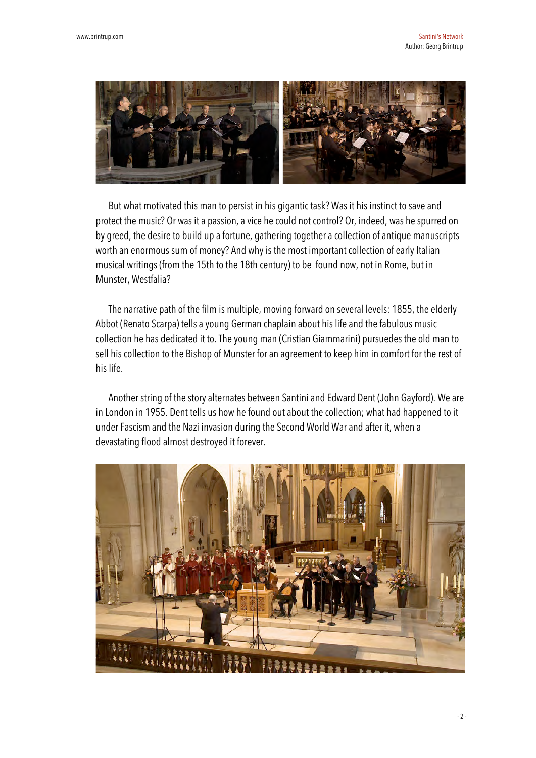

But what motivated this man to persist in his gigantic task? Was it his instinct to save and protect the music? Or was it a passion, a vice he could not control? Or, indeed, was he spurred on by greed, the desire to build up a fortune, gathering together a collection of antique manuscripts worth an enormous sum of money? And why is the most important collection of early Italian musical writings (from the 15th to the 18th century) to be found now, not in Rome, but in Munster, Westfalia?

The narrative path of the film is multiple, moving forward on several levels: 1855, the elderly Abbot (Renato Scarpa) tells a young German chaplain about his life and the fabulous music collection he has dedicated it to. The young man (Cristian Giammarini) pursuedes the old man to sell his collection to the Bishop of Munster for an agreement to keep him in comfort for the rest of his life.

Another string of the story alternates between Santini and Edward Dent (John Gayford). We are in London in 1955. Dent tells us how he found out about the collection; what had happened to it under Fascism and the Nazi invasion during the Second World War and after it, when a devastating flood almost destroyed it forever.

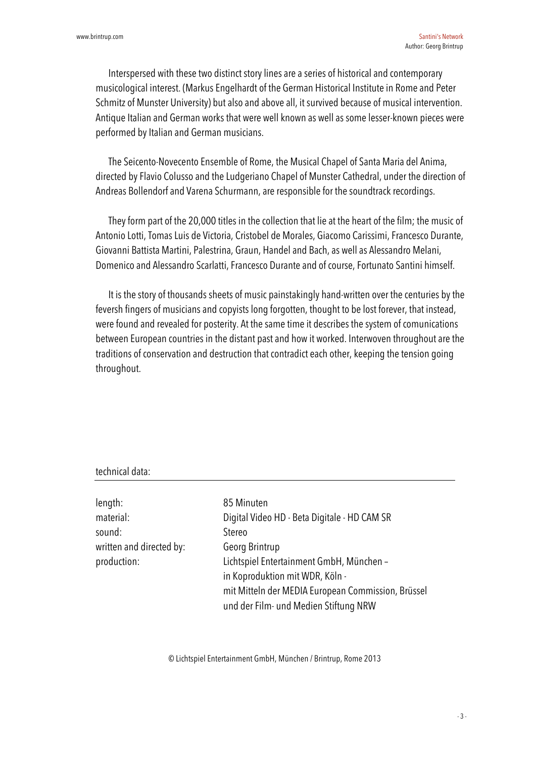Interspersed with these two distinct story lines are a series of historical and contemporary musicological interest. (Markus Engelhardt of the German Historical Institute in Rome and Peter Schmitz of Munster University) but also and above all, it survived because of musical intervention. Antique Italian and German works that were well known as well as some lesser-known pieces were performed by Italian and German musicians.

The Seicento-Novecento Ensemble of Rome, the Musical Chapel of Santa Maria del Anima, directed by Flavio Colusso and the Ludgeriano Chapel of Munster Cathedral, under the direction of Andreas Bollendorf and Varena Schurmann, are responsible for the soundtrack recordings.

They form part of the 20,000 titles in the collection that lie at the heart of the film; the music of Antonio Lotti, Tomas Luis de Victoria, Cristobel de Morales, Giacomo Carissimi, Francesco Durante, Giovanni Battista Martini, Palestrina, Graun, Handel and Bach, as well as Alessandro Melani, Domenico and Alessandro Scarlatti, Francesco Durante and of course, Fortunato Santini himself.

It is the story of thousands sheets of music painstakingly hand-written over the centuries by the feversh fingers of musicians and copyists long forgotten, thought to be lost forever, that instead, were found and revealed for posterity. At the same time it describes the system of comunications between European countries in the distant past and how it worked. Interwoven throughout are the traditions of conservation and destruction that contradict each other, keeping the tension going throughout.

## technical data:

| length:                  | 85 Minuten                                         |
|--------------------------|----------------------------------------------------|
| material:                | Digital Video HD - Beta Digitale - HD CAM SR       |
| sound:                   | <b>Stereo</b>                                      |
| written and directed by: | Georg Brintrup                                     |
| production:              | Lichtspiel Entertainment GmbH, München -           |
|                          | in Koproduktion mit WDR, Köln -                    |
|                          | mit Mitteln der MEDIA European Commission, Brüssel |
|                          | und der Film- und Medien Stiftung NRW              |

© Lichtspiel Entertainment GmbH, München / Brintrup, Rome 2013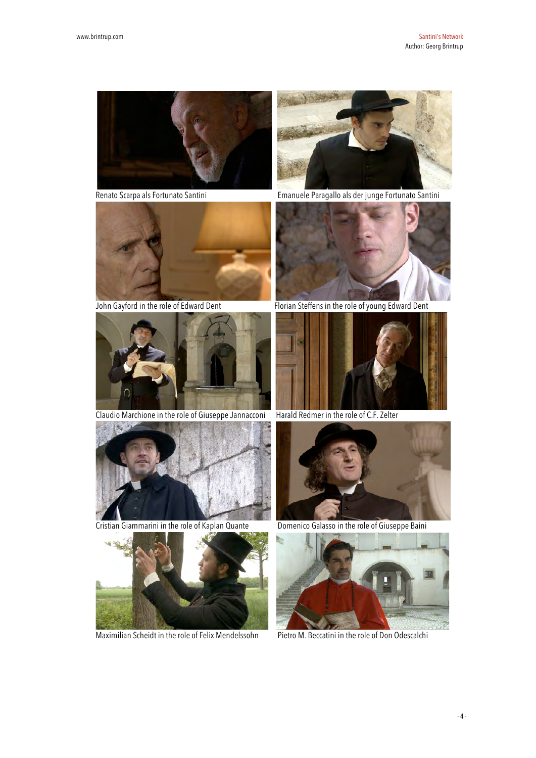





Claudio Marchione in the role of Giuseppe Jannacconi Harald Redmer in the role of C.F. Zelter



Cristian Giammarini in the role of Kaplan Quante Domenico Galasso in the role of Giuseppe Baini



Maximilian Scheidt in the role of Felix Mendelssohn Pietro M. Beccatini in the role of Don Odescalchi



Renato Scarpa als Fortunato Santini Emanuele Paragallo als der junge Fortunato Santini

 $\overline{\phantom{a}}$ 



John Gayford in the role of Edward Dent Florian Steffens in the role of young Edward Dent





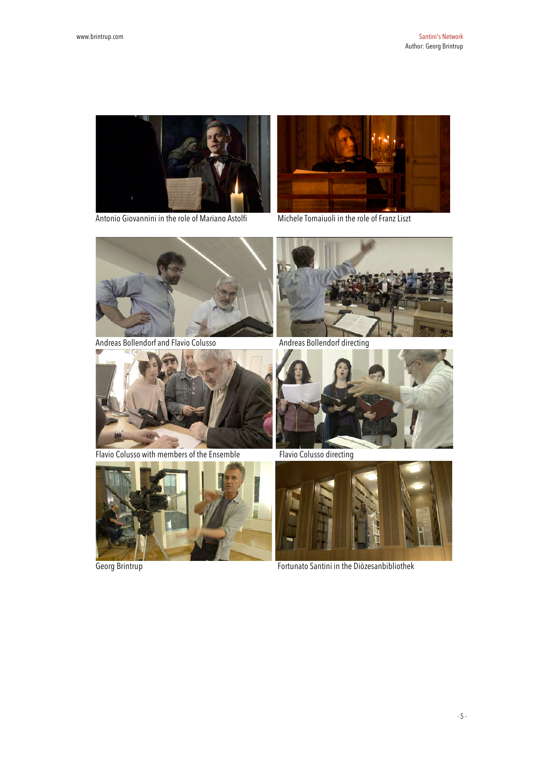

Antonio Giovannini in the role of Mariano Astolfi Michele Tomaiuoli in the role of Franz Liszt





Andreas Bollendorf and Flavio Colusso Andreas Bollendorf directing





Flavio Colusso with members of the Ensemble<br>
Flavio Colusso directing







Georg Brintrup **Fortunato Santini in the Diözesanbibliothek**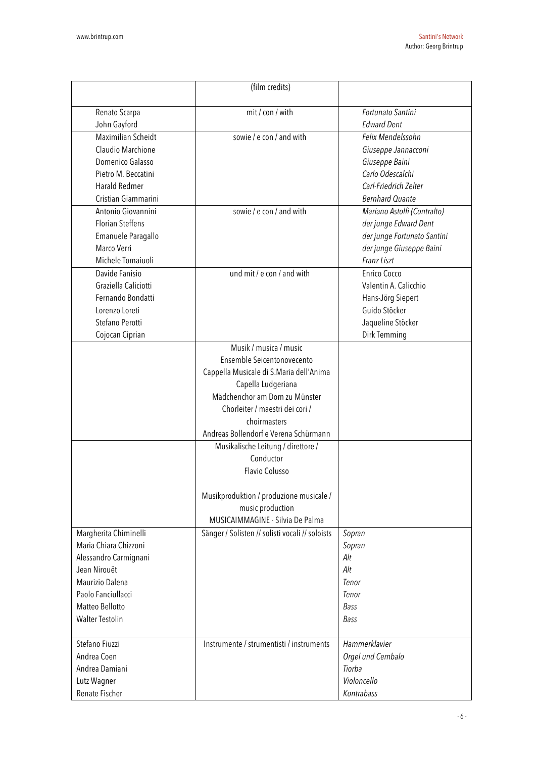|                         | (film credits)                                          |                             |  |  |
|-------------------------|---------------------------------------------------------|-----------------------------|--|--|
|                         |                                                         |                             |  |  |
| Renato Scarpa           | mit / con / with                                        | Fortunato Santini           |  |  |
| John Gayford            |                                                         | <b>Edward Dent</b>          |  |  |
| Maximilian Scheidt      | sowie / e con / and with                                | Felix Mendelssohn           |  |  |
| Claudio Marchione       |                                                         | Giuseppe Jannacconi         |  |  |
| Domenico Galasso        |                                                         | Giuseppe Baini              |  |  |
| Pietro M. Beccatini     |                                                         | Carlo Odescalchi            |  |  |
| Harald Redmer           |                                                         | Carl-Friedrich Zelter       |  |  |
| Cristian Giammarini     |                                                         | <b>Bernhard Quante</b>      |  |  |
| Antonio Giovannini      | sowie / e con / and with<br>Mariano Astolfi (Contralto) |                             |  |  |
| <b>Florian Steffens</b> |                                                         | der junge Edward Dent       |  |  |
| Emanuele Paragallo      |                                                         | der junge Fortunato Santini |  |  |
| Marco Verri             |                                                         | der junge Giuseppe Baini    |  |  |
| Michele Tomaiuoli       |                                                         | Franz Liszt                 |  |  |
| Davide Fanisio          | und mit / e con / and with                              | Enrico Cocco                |  |  |
| Graziella Caliciotti    |                                                         | Valentin A. Calicchio       |  |  |
| Fernando Bondatti       |                                                         | Hans-Jörg Siepert           |  |  |
| Lorenzo Loreti          |                                                         | Guido Stöcker               |  |  |
| Stefano Perotti         |                                                         | Jaqueline Stöcker           |  |  |
| Cojocan Ciprian         |                                                         | Dirk Temming                |  |  |
|                         | Musik / musica / music                                  |                             |  |  |
|                         | Ensemble Seicentonovecento                              |                             |  |  |
|                         | Cappella Musicale di S.Maria dell'Anima                 |                             |  |  |
|                         | Capella Ludgeriana                                      |                             |  |  |
|                         | Mädchenchor am Dom zu Münster                           |                             |  |  |
|                         | Chorleiter / maestri dei cori /                         |                             |  |  |
|                         | choirmasters                                            |                             |  |  |
|                         | Andreas Bollendorf e Verena Schürmann                   |                             |  |  |
|                         | Musikalische Leitung / direttore /                      |                             |  |  |
|                         | Conductor                                               |                             |  |  |
|                         | <b>Flavio Colusso</b>                                   |                             |  |  |
|                         |                                                         |                             |  |  |
|                         | Musikproduktion / produzione musicale /                 |                             |  |  |
|                         | music production                                        |                             |  |  |
|                         | MUSICAIMMAGINE - Silvia De Palma                        |                             |  |  |
| Margherita Chiminelli   | Sänger / Solisten // solisti vocali // soloists         | Sopran                      |  |  |
| Maria Chiara Chizzoni   |                                                         | Sopran                      |  |  |
| Alessandro Carmignani   |                                                         | Alt                         |  |  |
| Jean Nirouët            |                                                         | Alt                         |  |  |
| Maurizio Dalena         |                                                         | Tenor                       |  |  |
| Paolo Fanciullacci      |                                                         | Tenor                       |  |  |
| Matteo Bellotto         |                                                         | Bass                        |  |  |
| <b>Walter Testolin</b>  |                                                         | Bass                        |  |  |
|                         |                                                         |                             |  |  |
| Stefano Fiuzzi          | Instrumente / strumentisti / instruments                | Hammerklavier               |  |  |
| Andrea Coen             |                                                         | Orgel und Cembalo           |  |  |
| Andrea Damiani          |                                                         | Tiorba                      |  |  |
| Lutz Wagner             |                                                         | Violoncello                 |  |  |
| Renate Fischer          |                                                         | Kontrabass                  |  |  |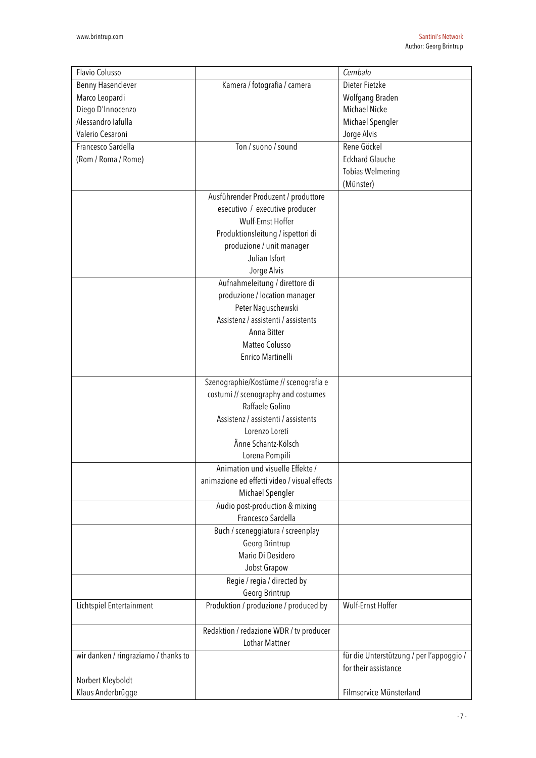| Flavio Colusso                       |                                              | Cembalo                                  |  |  |
|--------------------------------------|----------------------------------------------|------------------------------------------|--|--|
| Benny Hasenclever                    | Kamera / fotografia / camera                 | Dieter Fietzke                           |  |  |
| Marco Leopardi                       |                                              | Wolfgang Braden                          |  |  |
| Diego D'Innocenzo                    |                                              | <b>Michael Nicke</b>                     |  |  |
| Alessandro lafulla                   |                                              | Michael Spengler                         |  |  |
| Valerio Cesaroni                     |                                              | Jorge Alvis                              |  |  |
| Francesco Sardella                   | Ton / suono / sound                          | Rene Göckel                              |  |  |
| (Rom / Roma / Rome)                  |                                              | <b>Eckhard Glauche</b>                   |  |  |
|                                      |                                              | <b>Tobias Welmering</b>                  |  |  |
|                                      |                                              | (Münster)                                |  |  |
|                                      | Ausführender Produzent / produttore          |                                          |  |  |
|                                      | esecutivo / executive producer               |                                          |  |  |
|                                      | Wulf-Ernst Hoffer                            |                                          |  |  |
|                                      | Produktionsleitung / ispettori di            |                                          |  |  |
|                                      | produzione / unit manager                    |                                          |  |  |
|                                      | Julian Isfort                                |                                          |  |  |
|                                      | Jorge Alvis                                  |                                          |  |  |
|                                      | Aufnahmeleitung / direttore di               |                                          |  |  |
|                                      | produzione / location manager                |                                          |  |  |
|                                      | Peter Naguschewski                           |                                          |  |  |
|                                      | Assistenz / assistenti / assistents          |                                          |  |  |
|                                      | Anna Bitter                                  |                                          |  |  |
|                                      | Matteo Colusso                               |                                          |  |  |
|                                      | Enrico Martinelli                            |                                          |  |  |
|                                      |                                              |                                          |  |  |
|                                      | Szenographie/Kostüme // scenografia e        |                                          |  |  |
|                                      | costumi // scenography and costumes          |                                          |  |  |
|                                      | Raffaele Golino                              |                                          |  |  |
|                                      | Assistenz / assistenti / assistents          |                                          |  |  |
|                                      | Lorenzo Loreti                               |                                          |  |  |
|                                      | Änne Schantz-Kölsch                          |                                          |  |  |
|                                      | Lorena Pompili                               |                                          |  |  |
|                                      | Animation und visuelle Effekte /             |                                          |  |  |
|                                      | animazione ed effetti video / visual effects |                                          |  |  |
|                                      | Michael Spengler                             |                                          |  |  |
|                                      | Audio post-production & mixing               |                                          |  |  |
|                                      | Francesco Sardella                           |                                          |  |  |
|                                      |                                              |                                          |  |  |
|                                      | Buch / sceneggiatura / screenplay            |                                          |  |  |
|                                      | Georg Brintrup                               |                                          |  |  |
|                                      | Mario Di Desidero                            |                                          |  |  |
|                                      | Jobst Grapow                                 |                                          |  |  |
|                                      | Regie / regia / directed by                  |                                          |  |  |
|                                      | Georg Brintrup                               |                                          |  |  |
| Lichtspiel Entertainment             | Produktion / produzione / produced by        | Wulf-Ernst Hoffer                        |  |  |
|                                      | Redaktion / redazione WDR / tv producer      |                                          |  |  |
|                                      | <b>Lothar Mattner</b>                        |                                          |  |  |
| wir danken / ringraziamo / thanks to |                                              | für die Unterstützung / per l'appoggio / |  |  |
|                                      |                                              | for their assistance                     |  |  |
| Norbert Kleyboldt                    |                                              |                                          |  |  |
| Klaus Anderbrügge                    |                                              | Filmservice Münsterland                  |  |  |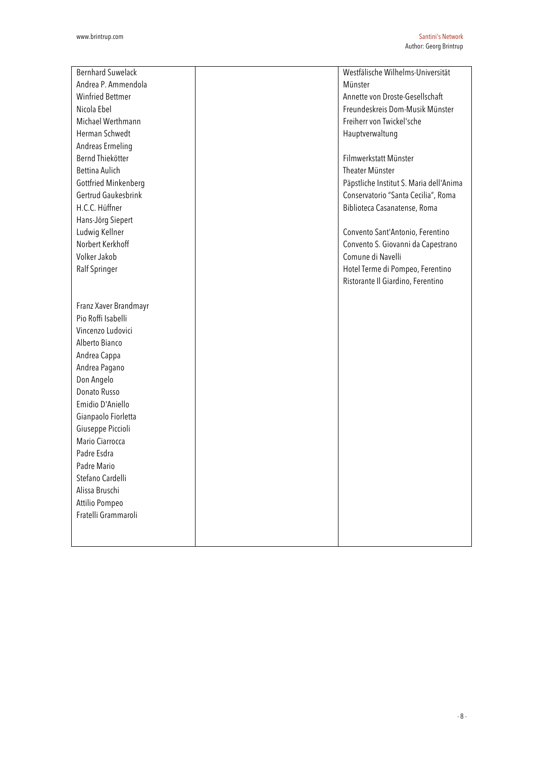| <b>Bernhard Suwelack</b> | Westfälische Wilhelms-Universität       |
|--------------------------|-----------------------------------------|
| Andrea P. Ammendola      | Münster                                 |
| <b>Winfried Bettmer</b>  | Annette von Droste-Gesellschaft         |
| Nicola Ebel              | Freundeskreis Dom-Musik Münster         |
| Michael Werthmann        | Freiherr von Twickel'sche               |
| Herman Schwedt           | Hauptverwaltung                         |
| Andreas Ermeling         |                                         |
| Bernd Thiekötter         | Filmwerkstatt Münster                   |
| Bettina Aulich           | Theater Münster                         |
| Gottfried Minkenberg     | Päpstliche Institut S. Maria dell'Anima |
| Gertrud Gaukesbrink      | Conservatorio "Santa Cecilia", Roma     |
| H.C.C. Hüffner           | Biblioteca Casanatense, Roma            |
| Hans-Jörg Siepert        |                                         |
| Ludwig Kellner           | Convento Sant'Antonio, Ferentino        |
| Norbert Kerkhoff         | Convento S. Giovanni da Capestrano      |
| Volker Jakob             | Comune di Navelli                       |
| Ralf Springer            | Hotel Terme di Pompeo, Ferentino        |
|                          | Ristorante Il Giardino, Ferentino       |
|                          |                                         |
| Franz Xaver Brandmayr    |                                         |
| Pio Roffi Isabelli       |                                         |
| Vincenzo Ludovici        |                                         |
| Alberto Bianco           |                                         |
| Andrea Cappa             |                                         |
| Andrea Pagano            |                                         |
| Don Angelo               |                                         |
| Donato Russo             |                                         |
| Emidio D'Aniello         |                                         |
| Gianpaolo Fiorletta      |                                         |
| Giuseppe Piccioli        |                                         |
| Mario Ciarrocca          |                                         |
| Padre Esdra              |                                         |
| Padre Mario              |                                         |
| Stefano Cardelli         |                                         |
| Alissa Bruschi           |                                         |
| Attilio Pompeo           |                                         |
| Fratelli Grammaroli      |                                         |
|                          |                                         |
|                          |                                         |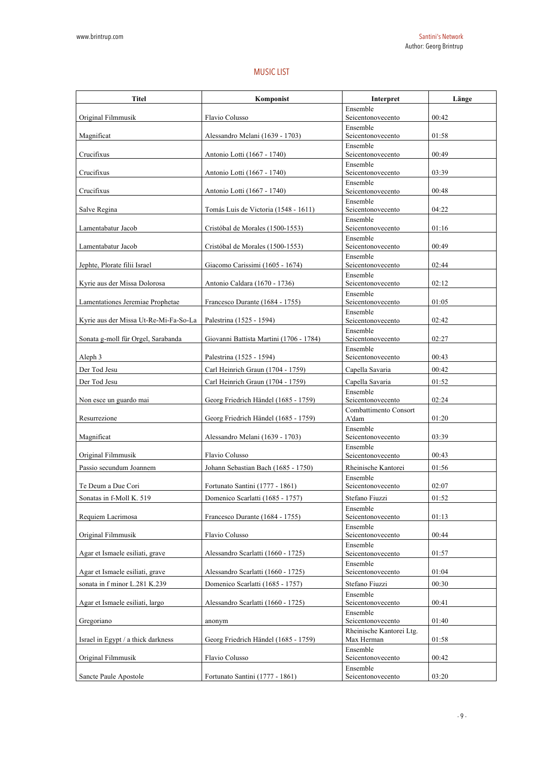## MUSIC LIST

| <b>Titel</b>                          | Komponist                               | Interpret                      | Länge |
|---------------------------------------|-----------------------------------------|--------------------------------|-------|
| Original Filmmusik                    | Flavio Colusso                          | Ensemble<br>Seicentonovecento  | 00:42 |
| Magnificat                            | Alessandro Melani (1639 - 1703)         | Ensemble<br>Seicentonovecento  | 01:58 |
| Crucifixus                            | Antonio Lotti (1667 - 1740)             | Ensemble<br>Seicentonovecento  | 00:49 |
| Crucifixus                            | Antonio Lotti (1667 - 1740)             | Ensemble<br>Seicentonovecento  | 03:39 |
| Crucifixus                            | Antonio Lotti (1667 - 1740)             | Ensemble<br>Seicentonovecento  | 00:48 |
| Salve Regina                          | Tomás Luis de Victoria (1548 - 1611)    | Ensemble<br>Seicentonovecento  | 04:22 |
| Lamentabatur Jacob                    | Cristóbal de Morales (1500-1553)        | Ensemble<br>Seicentonovecento  | 01:16 |
| Lamentabatur Jacob                    | Cristóbal de Morales (1500-1553)        | Ensemble<br>Seicentonovecento  | 00:49 |
| Jephte, Plorate filii Israel          | Giacomo Carissimi (1605 - 1674)         | Ensemble<br>Seicentonovecento  | 02:44 |
| Kyrie aus der Missa Dolorosa          | Antonio Caldara (1670 - 1736)           | Ensemble<br>Seicentonovecento  | 02:12 |
| Lamentationes Jeremiae Prophetae      | Francesco Durante (1684 - 1755)         | Ensemble<br>Seicentonovecento  | 01:05 |
| Kyrie aus der Missa Ut-Re-Mi-Fa-So-La | Palestrina (1525 - 1594)                | Ensemble<br>Seicentonovecento  | 02:42 |
| Sonata g-moll für Orgel, Sarabanda    | Giovanni Battista Martini (1706 - 1784) | Ensemble<br>Seicentonovecento  | 02:27 |
| Aleph 3                               | Palestrina (1525 - 1594)                | Ensemble<br>Seicentonovecento  | 00:43 |
| Der Tod Jesu                          | Carl Heinrich Graun (1704 - 1759)       | Capella Savaria                | 00:42 |
| Der Tod Jesu                          | Carl Heinrich Graun (1704 - 1759)       | Capella Savaria                | 01:52 |
| Non esce un guardo mai                | Georg Friedrich Händel (1685 - 1759)    | Ensemble<br>Seicentonovecento  | 02:24 |
| Resurrezione                          | Georg Friedrich Händel (1685 - 1759)    | Combattimento Consort<br>A'dam | 01:20 |
| Magnificat                            | Alessandro Melani (1639 - 1703)         | Ensemble<br>Seicentonovecento  | 03:39 |
| Original Filmmusik                    | Flavio Colusso                          | Ensemble<br>Seicentonovecento  | 00:43 |
| Passio secundum Joannem               | Johann Sebastian Bach (1685 - 1750)     | Rheinische Kantorei            | 01:56 |
| Te Deum a Due Cori                    | Fortunato Santini (1777 - 1861)         | Ensemble<br>Seicentonovecento  | 02:07 |
| Sonatas in f-Moll K. 519              | Domenico Scarlatti (1685 - 1757)        | Stefano Fiuzzi                 | 01:52 |
| Requiem Lacrimosa                     | Francesco Durante (1684 - 1755)         | Ensemble<br>Seicentonovecento  | 01:13 |
| Original Filmmusik                    | Flavio Colusso                          | Ensemble<br>Seicentonovecento  | 00:44 |
| Agar et Ismaele esiliati, grave       | Alessandro Scarlatti (1660 - 1725)      | Ensemble<br>Seicentonovecento  | 01:57 |
| Agar et Ismaele esiliati, grave       | Alessandro Scarlatti (1660 - 1725)      | Ensemble<br>Seicentonovecento  | 01:04 |
| sonata in f minor L.281 K.239         | Domenico Scarlatti (1685 - 1757)        | Stefano Fiuzzi                 | 00:30 |
| Agar et Ismaele esiliati, largo       | Alessandro Scarlatti (1660 - 1725)      | Ensemble<br>Seicentonovecento  | 00:41 |
| Gregoriano                            | anonym                                  | Ensemble<br>Seicentonovecento  | 01:40 |
|                                       |                                         | Rheinische Kantorei Ltg.       |       |
| Israel in Egypt / a thick darkness    | Georg Friedrich Händel (1685 - 1759)    | Max Herman<br>Ensemble         | 01:58 |
| Original Filmmusik                    | Flavio Colusso                          | Seicentonovecento<br>Ensemble  | 00:42 |
| Sancte Paule Apostole                 | Fortunato Santini (1777 - 1861)         | Seicentonovecento              | 03:20 |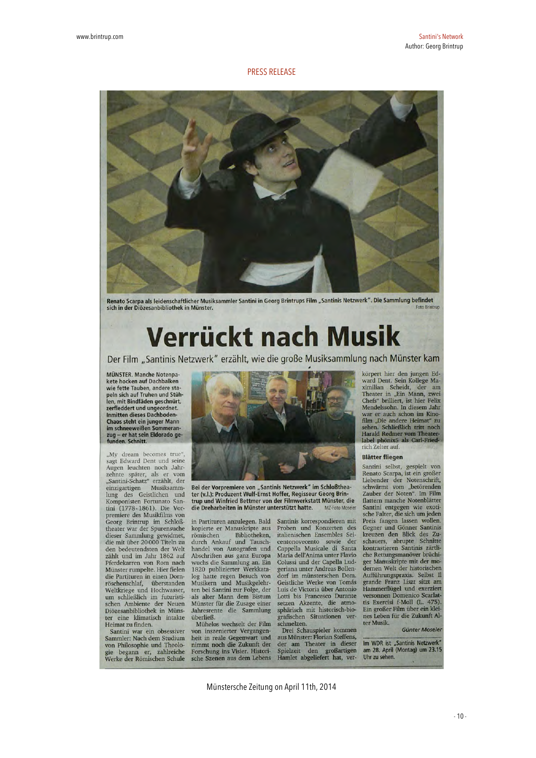### PRESS RELEASE



Renato Scarpa als leidenschaftlicher Musiksammler Santini in Georg Brintrups Film "Santinis Netzwerk". Die Sammlung befindet sich in der Diözesanbibliothek in Münster.

# Verrückt nach Musik

Der Film "Santinis Netzwerk" erzählt, wie die große Musiksammlung nach Münster kam

MÜNSTER. Manche Notenpakete hocken auf Dachbalken wie fette Tauben, andere sta peln sich auf Truhen und Stühlen, mit Bindfäden geschnürt, zerfleddert und ungeordnet. **Inmitten dieses Dachboden-**Than steht ein junger Mann<br>im schneeweißen Sommeran-<br>zug – er hat sein Eldorado ge-<br>funden. Schnitt.

"My dream becomes true",<br>sagt Edward Dent und seine Augen leuchten noch Jahrzehnte später, als er vom<br>"Santini-Schatz" erzählt, der solitain-bendaz eratini, der<br>einzigartigen Musiksamm-<br>lung des Geistlichen und<br>Komponisten Fortunato San-Musiksammtini (1778-1861). Die Vorpremiere des Musikfilms von Georg Brintrup im Schloß-<br>theater war der Spurensuche dieser Sammlung gewidmet,<br>die mit über 20 000 Titeln zu den bedeutendsten der Welt zählt und im Jahr 1862 auf Pferdekarren von Rom nach<br>Münster rumpelte. Hier fielen die Partituren in einen Dornröschenschlaf, überstanden<br>Weltkriege und Hochwasser,<br>um schließlich im futuristischen Ambiente der Neuen Diözesanbibliothek in Münster eine klimatisch intakte Heimat zu finden.

Santini war ein obsessiver Sammler: Nach dem Studium von Philosophie und Theologie begann er, zahlreiche<br>Werke der Römischen Schule



Bei der Vorpremiere von "Santinis Netzwerk" im Schloßtheater (v.l.): Produzent Wulf-Ernst Hoffer, Regisseur Georg Brintrup und Winfried Bettmer von der Filmwerkstatt Münster, die die Dreharbeiten in Münster unterstützt hatte. MZ-Foto Moseler

in Partituren anzulegen. Bald kopierte er Manuskripte aus römischen Bibliotheken, romischen<br>durch Ankauf und Tausch-<br>handel von Autografen und Abschriften aus ganz Europa wuchs die Sammlung an. Ein<br>1820 publizierter Werkkatalog hatte regen Besuch von Musikern und Musikgelehrten bei Santini zur Folge, der als alter Mann dem Bistum Münster für die Zusage einer Jahresrente die Sammlung überließ.

Mühelos wechselt der Film von inszenierter Vergangenheit in reale Gegenwart und nimmt noch die Zukunft der Forschung ins Visier. Historische Szenen aus dem Lebens

Santinis korrespondieren mit Proben und Konzerten des italienischen Ensembles Seicentonovecento sovie der<br>Cappella Musicale di Santa Maria dell'Anima unter Flavio Colussi und der Capella Ludgeriana unter Andreas Bollendorf im münsterschen Dom. Geistliche Werke von Tomás<br>Luis de Victoria über Antonio Lotti bis Francesco Durante setzen Akzente, die atmo-<br>sphärisch mit historisch-biografischen Situationen ver-

schmelzen.<br>Drei Schauspieler kommen aus Münster: Florian Steffens, des Manseer. Fromm occidents,<br>der am Theater in dieser<br>Spielzeit den großartigen<br>Hamlet abgeliefert hat, ver-

körpert hier den jungen Edward Dent. Sein Kollege Maximilian Scheidt, der am Theater in "Ein Mann, zwei Chefs" brilliert, ist hier Felix Mendelssohn. In diesem Jahr war er auch schon im Kino-<br>film "Die andere Heimat" zu<br>sehen. Schließlich tritt noch Harald Redmer vom Theater-<br>label phönix5 als Carl-Friedrich Zelter auf

#### **Blätter fliegen**

Santini selbst, gespielt von<br>Renato Scarpa, ist ein großer Liebender der Notenschrift, schwärmt vom "betörenden<br>Zauber der Noten". Im Film flattern manche Notenblätter Santini entgegen wie exoti-<br>sche Falter, die sich um jeden Preis fangen lassen wollen.<br>Gegner und Gönner Santinis<br>kreuzen den Blick des Zuschauers, abrupte Schnitte kontrastieren Santinis zärtliche Rettungsmanöver brüchiger Manuskripte mit der modernen Welt der historischen Aufführungspraxis. Selbst II grande Franz Liszt sitzt am Hammerflügel und exerziert versonnen Domenico Scarlattis Exercisi f-Moll (L. 475). Ein großer Film über ein kleines Leben für die Zukunft Alter Musik.

#### Günter Moseler

Im WDR ist "Santinis Netzwerk"<br>am 28. April (Montag) um 23.15 Uhr zu sehen

Münstersche Zeitung on April 11th, 2014